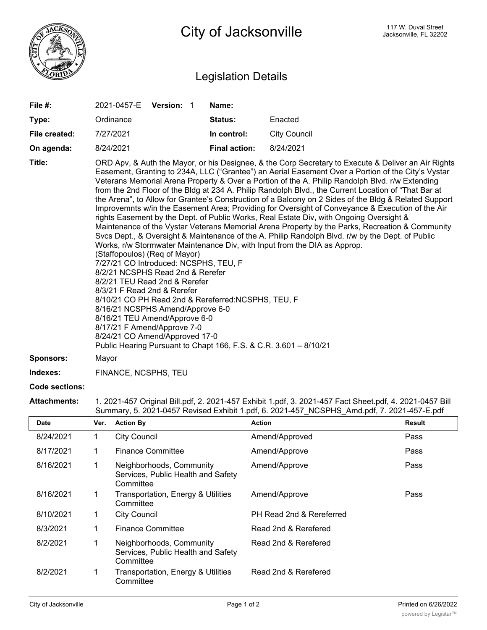

## Legislation Details

| File #:          | 2021-0457-E Version: 1                                                                                                                                                                                                                                                                                                                                                                                                                                                                                                                                                                                                                                                                                                                                                                                                                                                                                                                                                                                                                                                                                                                                                                                                                                                                                                                                                                                                                                           |  |  | Name:                |                     |  |
|------------------|------------------------------------------------------------------------------------------------------------------------------------------------------------------------------------------------------------------------------------------------------------------------------------------------------------------------------------------------------------------------------------------------------------------------------------------------------------------------------------------------------------------------------------------------------------------------------------------------------------------------------------------------------------------------------------------------------------------------------------------------------------------------------------------------------------------------------------------------------------------------------------------------------------------------------------------------------------------------------------------------------------------------------------------------------------------------------------------------------------------------------------------------------------------------------------------------------------------------------------------------------------------------------------------------------------------------------------------------------------------------------------------------------------------------------------------------------------------|--|--|----------------------|---------------------|--|
| Type:            | Ordinance                                                                                                                                                                                                                                                                                                                                                                                                                                                                                                                                                                                                                                                                                                                                                                                                                                                                                                                                                                                                                                                                                                                                                                                                                                                                                                                                                                                                                                                        |  |  | Status:              | Enacted             |  |
| File created:    | 7/27/2021                                                                                                                                                                                                                                                                                                                                                                                                                                                                                                                                                                                                                                                                                                                                                                                                                                                                                                                                                                                                                                                                                                                                                                                                                                                                                                                                                                                                                                                        |  |  | In control:          | <b>City Council</b> |  |
| On agenda:       | 8/24/2021                                                                                                                                                                                                                                                                                                                                                                                                                                                                                                                                                                                                                                                                                                                                                                                                                                                                                                                                                                                                                                                                                                                                                                                                                                                                                                                                                                                                                                                        |  |  | <b>Final action:</b> | 8/24/2021           |  |
| Title:           | ORD Apv, & Auth the Mayor, or his Designee, & the Corp Secretary to Execute & Deliver an Air Rights<br>Easement, Granting to 234A, LLC ("Grantee") an Aerial Easement Over a Portion of the City's Vystar<br>Veterans Memorial Arena Property & Over a Portion of the A. Philip Randolph Blvd. r/w Extending<br>from the 2nd Floor of the Bldg at 234 A. Philip Randolph Blvd., the Current Location of "That Bar at<br>the Arena", to Allow for Grantee's Construction of a Balcony on 2 Sides of the Bldg & Related Support<br>Improvemnts w/in the Easement Area; Providing for Oversight of Conveyance & Execution of the Air<br>rights Easement by the Dept. of Public Works, Real Estate Div, with Ongoing Oversight &<br>Maintenance of the Vystar Veterans Memorial Arena Property by the Parks, Recreation & Community<br>Svcs Dept., & Oversight & Maintenance of the A. Philip Randolph Blvd. r/w by the Dept. of Public<br>Works, r/w Stormwater Maintenance Div, with Input from the DIA as Approp.<br>(Staffopoulos) (Req of Mayor)<br>7/27/21 CO Introduced: NCSPHS, TEU, F<br>8/2/21 NCSPHS Read 2nd & Rerefer<br>8/2/21 TEU Read 2nd & Rerefer<br>8/3/21 F Read 2nd & Rerefer<br>8/10/21 CO PH Read 2nd & Rereferred: NCSPHS, TEU, F<br>8/16/21 NCSPHS Amend/Approve 6-0<br>8/16/21 TEU Amend/Approve 6-0<br>8/17/21 F Amend/Approve 7-0<br>8/24/21 CO Amend/Approved 17-0<br>Public Hearing Pursuant to Chapt 166, F.S. & C.R. 3.601 - 8/10/21 |  |  |                      |                     |  |
| <b>Sponsors:</b> | Mayor                                                                                                                                                                                                                                                                                                                                                                                                                                                                                                                                                                                                                                                                                                                                                                                                                                                                                                                                                                                                                                                                                                                                                                                                                                                                                                                                                                                                                                                            |  |  |                      |                     |  |
| Indexes:         | FINANCE, NCSPHS, TEU                                                                                                                                                                                                                                                                                                                                                                                                                                                                                                                                                                                                                                                                                                                                                                                                                                                                                                                                                                                                                                                                                                                                                                                                                                                                                                                                                                                                                                             |  |  |                      |                     |  |

## **Code sections:**

**Attachments:** 1. 2021-457 Original Bill.pdf, 2. 2021-457 Exhibit 1.pdf, 3. 2021-457 Fact Sheet.pdf, 4. 2021-0457 Bill Summary, 5. 2021-0457 Revised Exhibit 1.pdf, 6. 2021-457\_NCSPHS\_Amd.pdf, 7. 2021-457-E.pdf

| <b>Date</b> | Ver. | <b>Action By</b>                                                            | <b>Action</b>            | Result |
|-------------|------|-----------------------------------------------------------------------------|--------------------------|--------|
| 8/24/2021   |      | <b>City Council</b>                                                         | Amend/Approved           | Pass   |
| 8/17/2021   |      | <b>Finance Committee</b>                                                    | Amend/Approve            | Pass   |
| 8/16/2021   |      | Neighborhoods, Community<br>Services, Public Health and Safety<br>Committee | Amend/Approve            | Pass   |
| 8/16/2021   |      | Transportation, Energy & Utilities<br>Committee                             | Amend/Approve            | Pass   |
| 8/10/2021   |      | <b>City Council</b>                                                         | PH Read 2nd & Rereferred |        |
| 8/3/2021    |      | <b>Finance Committee</b>                                                    | Read 2nd & Rerefered     |        |
| 8/2/2021    |      | Neighborhoods, Community<br>Services, Public Health and Safety<br>Committee | Read 2nd & Rerefered     |        |
| 8/2/2021    |      | Transportation, Energy & Utilities<br>Committee                             | Read 2nd & Rerefered     |        |